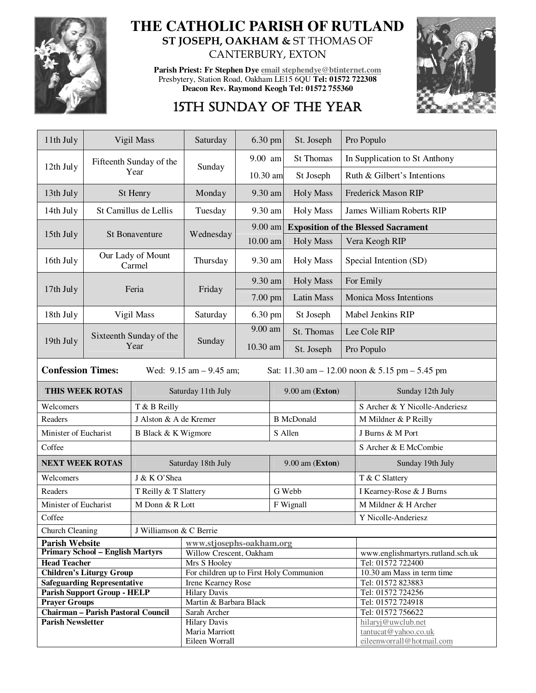

## **THE CATHOLIC PARISH OF RUTLAND ST JOSEPH, OAKHAM &** ST THOMAS OF CANTERBURY, EXTON

**Parish Priest: Fr Stephen Dye email stephendye@btinternet.com** Presbytery, Station Road, Oakham LE15 6QU **Tel: 01572 722308 Deacon Rev. Raymond Keogh Tel: 01572 755360** 



# 15TH SUNDAY OF THE YEAR

| 11th July                                                                                                       | Vigil Mass                                                               |                                                               | Saturday                                                | 6.30 pm   |                   | St. Joseph                                 |                                  | Pro Populo                                                              |  |
|-----------------------------------------------------------------------------------------------------------------|--------------------------------------------------------------------------|---------------------------------------------------------------|---------------------------------------------------------|-----------|-------------------|--------------------------------------------|----------------------------------|-------------------------------------------------------------------------|--|
| 12th July                                                                                                       |                                                                          | Fifteenth Sunday of the                                       | Sunday                                                  | $9.00$ am |                   | <b>St Thomas</b>                           | In Supplication to St Anthony    |                                                                         |  |
|                                                                                                                 |                                                                          | Year                                                          |                                                         | 10.30 am  |                   | St Joseph                                  | Ruth & Gilbert's Intentions      |                                                                         |  |
| 13th July                                                                                                       | St Henry                                                                 |                                                               | Monday                                                  | 9.30 am   |                   | <b>Holy Mass</b>                           | <b>Frederick Mason RIP</b>       |                                                                         |  |
| 14th July                                                                                                       | St Camillus de Lellis                                                    |                                                               | Tuesday                                                 | 9.30 am   |                   | <b>Holy Mass</b>                           | <b>James William Roberts RIP</b> |                                                                         |  |
|                                                                                                                 | <b>St Bonaventure</b>                                                    |                                                               | Wednesday                                               | 9.00 am   |                   | <b>Exposition of the Blessed Sacrament</b> |                                  |                                                                         |  |
| 15th July                                                                                                       |                                                                          |                                                               |                                                         | 10.00 am  |                   | <b>Holy Mass</b>                           | Vera Keogh RIP                   |                                                                         |  |
| 16th July                                                                                                       | Our Lady of Mount<br>Carmel                                              |                                                               | Thursday                                                | 9.30 am   |                   | <b>Holy Mass</b>                           | Special Intention (SD)           |                                                                         |  |
| 17th July                                                                                                       |                                                                          | Feria                                                         | Friday                                                  | 9.30 am   |                   | <b>Holy Mass</b>                           | For Emily                        |                                                                         |  |
|                                                                                                                 |                                                                          |                                                               |                                                         | 7.00 pm   |                   | <b>Latin Mass</b>                          | <b>Monica Moss Intentions</b>    |                                                                         |  |
| 18th July                                                                                                       | Vigil Mass                                                               |                                                               | Saturday                                                | 6.30 pm   |                   | St Joseph                                  | Mabel Jenkins RIP                |                                                                         |  |
|                                                                                                                 | Sixteenth Sunday of the<br>Year                                          |                                                               | Sunday                                                  | 9.00 am   |                   | St. Thomas                                 | Lee Cole RIP                     |                                                                         |  |
| 19th July                                                                                                       |                                                                          |                                                               |                                                         | 10.30 am  |                   | St. Joseph                                 | Pro Populo                       |                                                                         |  |
| <b>Confession Times:</b><br>Wed: $9.15$ am $- 9.45$ am;<br>Sat: $11.30$ am $- 12.00$ noon & 5.15 pm $- 5.45$ pm |                                                                          |                                                               |                                                         |           |                   |                                            |                                  |                                                                         |  |
| THIS WEEK ROTAS                                                                                                 |                                                                          |                                                               | Saturday 11th July                                      |           |                   | 9.00 am (Exton)                            |                                  | Sunday 12th July                                                        |  |
| Welcomers<br>T & B Reilly                                                                                       |                                                                          |                                                               |                                                         |           |                   |                                            |                                  | S Archer & Y Nicolle-Anderiesz                                          |  |
| Readers                                                                                                         |                                                                          | J Alston & A de Kremer                                        |                                                         |           | <b>B</b> McDonald |                                            |                                  | M Mildner & P Reilly                                                    |  |
| Minister of Eucharist                                                                                           |                                                                          | B Black & K Wigmore                                           | S Allen                                                 |           |                   | J Burns & M Port                           |                                  |                                                                         |  |
| Coffee                                                                                                          |                                                                          |                                                               |                                                         |           |                   |                                            |                                  | S Archer & E McCombie                                                   |  |
| <b>NEXT WEEK ROTAS</b>                                                                                          |                                                                          | Saturday 18th July                                            |                                                         |           |                   | 9.00 am (Exton)                            |                                  | Sunday 19th July                                                        |  |
| Welcomers                                                                                                       |                                                                          | J & K O'Shea                                                  |                                                         |           |                   |                                            |                                  | T & C Slattery                                                          |  |
| Readers                                                                                                         |                                                                          | T Reilly & T Slattery                                         |                                                         |           | G Webb            |                                            |                                  | I Kearney-Rose & J Burns                                                |  |
| Minister of Eucharist<br>M Donn & R Lott                                                                        |                                                                          |                                                               |                                                         |           |                   | F Wignall                                  |                                  | M Mildner & H Archer                                                    |  |
| Coffee                                                                                                          |                                                                          |                                                               |                                                         |           |                   |                                            |                                  | Y Nicolle-Anderiesz                                                     |  |
| <b>Church Cleaning</b><br>J Williamson & C Berrie                                                               |                                                                          |                                                               |                                                         |           |                   |                                            |                                  |                                                                         |  |
| <b>Parish Website</b>                                                                                           |                                                                          | www.stjosephs-oakham.org                                      |                                                         |           |                   |                                            |                                  |                                                                         |  |
|                                                                                                                 | <b>Primary School - English Martyrs</b>                                  | Willow Crescent, Oakham                                       |                                                         |           |                   | www.englishmartyrs.rutland.sch.uk          |                                  |                                                                         |  |
| <b>Head Teacher</b><br><b>Children's Liturgy Group</b>                                                          |                                                                          |                                                               | Mrs S Hooley                                            |           |                   |                                            | Tel: 01572 722400                |                                                                         |  |
|                                                                                                                 |                                                                          | For children up to First Holy Communion<br>Irene Kearney Rose |                                                         |           |                   | 10.30 am Mass in term time                 |                                  |                                                                         |  |
|                                                                                                                 | <b>Safeguarding Representative</b><br><b>Parish Support Group - HELP</b> | <b>Hilary Davis</b>                                           |                                                         |           |                   | Tel: 01572 823883<br>Tel: 01572 724256     |                                  |                                                                         |  |
| <b>Prayer Groups</b>                                                                                            |                                                                          | Martin & Barbara Black                                        |                                                         |           |                   |                                            | Tel: 01572 724918                |                                                                         |  |
|                                                                                                                 | <b>Chairman - Parish Pastoral Council</b>                                | Sarah Archer                                                  |                                                         |           |                   |                                            | Tel: 01572 756622                |                                                                         |  |
| <b>Parish Newsletter</b>                                                                                        |                                                                          |                                                               | <b>Hilary Davis</b><br>Maria Marriott<br>Eileen Worrall |           |                   |                                            |                                  | hilaryj@uwclub.net<br>tantucat@yahoo.co.uk<br>eileenworrall@hotmail.com |  |